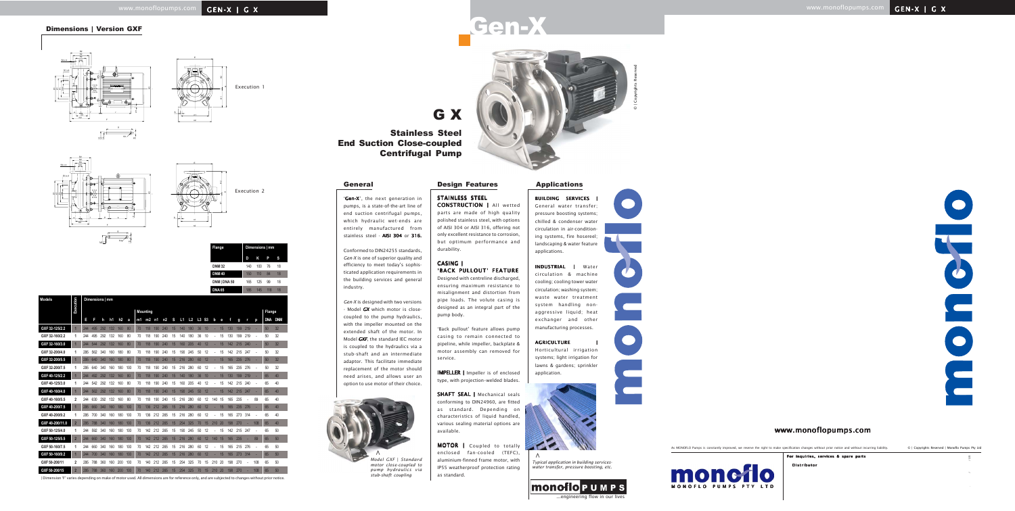

H1

n2

E



|  | Execution |  |
|--|-----------|--|

Conformed to DIN24255 standards, *Gen-X* is one of superior quality and efficiency to meet today's sophisticated application requirements in the building services and general

industry.

*Gen-X* is designed with two versions - Model *GX*which motor is closecoupled to the pump hydraulics, with the impeller mounted on the extended shaft of the motor. In Model *GXF*, the standard IEC motor is coupled to the hydraulics via a stub-shaft and an intermediate adaptor. This facilitate immediate replacement of the motor should need arises, and allows user an option to use motor of their choice.

**IMPELLER** | Impeller is of enclosed type, with projection–welded blades.

SHAFT SEAL | Mechanical seals conforming to DIN24960, are fitted as standard. Depending on characteristics of liquid handled, various sealing material options are available.

BUILDING SERVICES General water transfer; pressure boosting systems; chilled & condenser water circulation in air-conditioning systems, fire hosereel; landscaping & water feature applications.

#### **AGRICULTURE**

STAINLESS STEEL CONSTRUCTION | All wetted parts are made of high quality polished stainless steel, with options of AISI 304 or AISI 316, offering not only excellent resistance to corrosion, but optimum performance and durability.

#### CASING | | 'BACK PULLOUT' FEATURE

Designed with centreline discharged, ensuring maximum resistance to misalignment and distortion from pipe loads. The volute casing is designed as an integral part of the pump body.

'Back pullout' feature allows pump casing to remain connected to pipeline, while impeller, backplate & motor assembly can removed for service.

MOTOR | Coupled to totally enclosed fan-cooled (TEFC), aluminium-finned frame motor, with IP55 weatherproof protection rating as standard.

INDUSTRIAL | Water circulation & machine cooling; cooling tower water circulation; washing system; waste water treatment system handling nonaggressive liquid; heat exchanger and other manufacturing processes.

Horticultural irrigation systems; light irrigation for lawns & gardens; sprinkler application.



G X Stainless Steel End Suction Close-coupled

Centrifugal Pump

'Gen-X', the next generation in pumps, is a state-of-the-art line of end suction centrifugal pumps, which hydraulic wet-ends are entirely manufactured from stainless steel - AISI 304 or 316.



*Model GXF* | *Standard motor close-coupled to pump hydraulics via stub-shaft coupling*



*Typical application in building serviceswater transfer, pressure boosting, etc.*





 $\sim$  /05

**>**

## www.monoflopumps.com **GEN-X | GX**

Dimensions | Version GXF

| Flange        |     | Dimensions   mm |     |    |
|---------------|-----|-----------------|-----|----|
|               | D   | Κ               | P   | s  |
| <b>DNM32</b>  | 140 | 100             | 76  | 18 |
| <b>DNM40</b>  | 150 | 110             | 84  | 18 |
| DNM   DNA 50  | 165 | 125             | 99  | 18 |
| <b>DNA 65</b> | 185 | 145             | 118 | 18 |

| <b>Models</b>   | Execution      |     |     | Dimensions   mm |                |     |     |    |                 |     |     |    |     |                |       |    |     |    |     |     |     |     |            |            |
|-----------------|----------------|-----|-----|-----------------|----------------|-----|-----|----|-----------------|-----|-----|----|-----|----------------|-------|----|-----|----|-----|-----|-----|-----|------------|------------|
|                 |                |     |     |                 |                |     |     |    | <b>Mounting</b> |     |     |    |     |                |       |    |     |    |     |     |     |     | Flange     |            |
|                 |                | П   | F   | h               | h <sub>1</sub> | h2  | a   | m1 | $m2$ n1         |     | n2  | S  | L1  | L <sub>2</sub> | L3 S3 |    | b   | е  | f   | g   | r   | р   | <b>DNA</b> | <b>DNM</b> |
| GXF 32-125/2.2  |                | 244 | 495 | 292             | 132            | 160 | 80  | 70 | 118             | 190 | 240 | 15 | 140 | 180            | 36    | 10 |     | 15 | 130 | 199 | 219 |     | 50         | 32         |
| GXF 32-160/2.2  | 1              | 244 | 495 | 292             | 132            | 160 | 80  | 70 | 118             | 190 | 240 | 15 | 140 | 180            | 36    | 10 |     | 15 | 130 | 199 | 219 |     | 50         | 32         |
| GXF 32-160/3.0  |                | 244 | 544 | 292             | 132            | 160 | 80  | 70 | 118             | 190 | 240 | 15 | 160 | 205            | 40    | 12 |     | 15 | 142 | 215 | 240 |     | 50         | 32         |
| GXF 32-200/4.0  | 1              | 295 | 562 | 340             | 160            | 180 | 80  | 70 | 118             | 190 | 240 | 15 | 190 | 245            | 50    | 12 |     | 15 | 142 | 215 | 247 |     | 50         | 32         |
| GXF 32-200/5.5  |                | 295 | 640 | 340             | 160            | 180 | 80  | 70 | 118             | 190 | 240 | 15 | 216 | 280            | 60    | 12 |     | 15 | 165 | 235 | 276 |     | 50         | 32         |
| GXF 32-200/7.5  | 1              | 295 | 640 | 340             | 160            | 180 | 100 | 70 | 118             | 190 | 240 | 15 | 216 | 280            | 60    | 12 |     | 15 | 165 | 235 | 276 |     | 50         | 32         |
| GXF 40-125/2.2  |                | 244 | 492 | 292             | 132            | 160 | 80  | 70 | 118             | 190 | 240 | 15 | 140 | 180            | 36    | 10 |     | 15 | 130 | 199 | 219 |     | 65         | 40         |
| GXF 40-125/3.0  | 1              | 244 | 542 | 292             | 132            | 160 | 80  | 70 | 118             | 190 | 240 | 15 | 160 | 205            | 40    | 12 |     | 15 | 142 | 215 | 240 |     | 65         | 40         |
| GXF 40-160/4.0  |                | 244 | 562 | 292             | 132            | 160 | 80  | 70 | 118             | 190 | 240 | 15 | 190 | 245            | 50    | 12 |     | 15 | 142 | 215 | 247 |     | 65         | 40         |
| GXF 40-160/5.5  | 2              | 244 | 630 | 292             | 132            | 160 | 80  | 70 | 118             | 190 | 240 | 15 | 216 | 280            | 60    | 12 | 140 | 15 | 165 | 235 |     | 89  | 65         | 40         |
| GXF 40-200/7.5  |                | 295 | 660 | 340             | 160            | 180 | 100 | 70 | 136             | 212 | 265 | 15 | 216 | 280            | 60    | 12 |     | 15 | 165 | 235 | 276 |     | 65         | 40         |
| GXF 40-200/9.2  | 1              | 295 | 700 | 340             | 160            | 180 | 100 | 70 | 136             | 212 | 265 | 15 | 216 | 280            | 60    | 12 |     | 15 | 165 | 273 | 314 |     | 65         | 40         |
| GXF 40-200/11.0 | $\overline{2}$ | 295 | 788 | 340             | 160            | 180 | 100 | 70 | 136             | 212 | 265 | 15 | 254 | 325            | 70    | 15 | 210 | 20 | 198 | 270 |     | 108 | 65         | 40         |
| GXF 50-125/4.0  | 1              | 244 | 592 | 340             | 160            | 180 | 100 | 70 | 142             | 212 | 265 | 15 | 190 | 245            | 50    | 12 |     | 15 | 142 | 215 | 247 |     | 65         | 50         |
| GXF 50-125/5.5  | $\overline{2}$ | 244 | 660 | 340             | 160            | 180 | 100 | 70 | 142             | 212 | 265 | 15 | 216 | 280            | 60    | 12 | 140 | 15 | 165 | 235 |     | 89  | 65         | 50         |
| GXF 50-160/7.5  | 1              | 244 | 660 | 340             | 160            | 180 | 100 | 70 | 142             | 212 | 265 | 15 | 216 | 280            | 60    | 12 |     | 15 | 165 | 215 | 276 | ä,  | 65         | 50         |
| GXF 50-160/9.2  |                | 244 | 700 | 340             | 160            | 180 | 100 | 70 | 142             | 212 | 265 | 15 | 216 | 280            | 60    | 12 |     | 15 | 165 | 273 | 314 |     | 65         | 50         |
| GXF 50-200/11   | 2              | 295 | 788 | 360             | 160            | 200 | 100 | 70 | 140             | 212 | 265 | 15 | 254 | 325            | 70    | 15 | 210 | 20 | 198 | 270 |     | 108 | 65         | 50         |
| GXF 50-200/15   | $\overline{2}$ | 295 | 788 | 360             | 160            | 200 | 100 | 70 | 140             | 212 | 265 | 15 | 254 | 325            | 70    | 15 | 210 | 20 | 198 | 270 |     | 108 | 65         | 50         |

| Dimension 'F' varies depending on make of motor used. All dimensions are for reference only, and are subjected to changes without prior notice.

# Gen-

As MONOFLO Pumps is constantly improved, we reserve the right to make specification changes without prior notice and without incurring liability. © | Copyrights Reserved | Monoflo Pumps Pty Ltd

> Distributor For inquiries, services & spare parts



### www.monoflopumps.com





#### General **Design Features Applications**